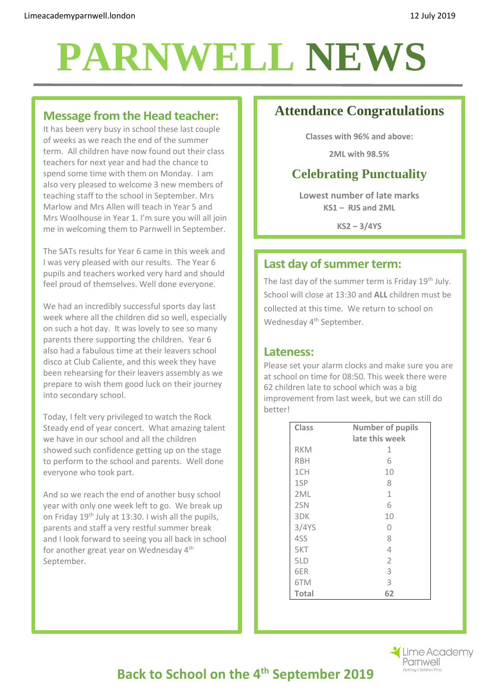## **PARNWELL NEWS**

#### **Message from the Head teacher:**

It has been very busy in school these last couple of weeks as we reach the end of the summer term. All children have now found out their class teachers for next year and had the chance to spend some time with them on Monday. I am also very pleased to welcome 3 new members of teaching staff to the school in September. Mrs Marlow and Mrs Allen will teach in Year 5 and Mrs Woolhouse in Year 1. I'm sure you will all join me in welcoming them to Parnwell in September.

The SATs results for Year 6 came in this week and I was very pleased with our results. The Year 6 pupils and teachers worked very hard and should feel proud of themselves. Well done everyone.

We had an incredibly successful sports day last week where all the children did so well, especially on such a hot day. It was lovely to see so many parents there supporting the children. Year 6 also had a fabulous time at their leavers school disco at Club Caliente, and this week they have been rehearsing for their leavers assembly as we prepare to wish them good luck on their journey into secondary school.

Today, I felt very privileged to watch the Rock Steady end of year concert. What amazing talent we have in our school and all the children showed such confidence getting up on the stage to perform to the school and parents. Well done everyone who took part.

And so we reach the end of another busy school year with only one week left to go. We break up on Friday 19th July at 13:30. I wish all the pupils, parents and staff a very restful summer break and I look forward to seeing you all back in school for another great year on Wednesday 4<sup>th</sup> September.

## **Attendance Congratulations**

**Classes with 96% and above:**

**2ML with 98.5%**

## **Celebrating Punctuality**

**Lowest number of late marks KS1 – RJS and 2ML**

**KS2 – 3/4YS** 

## **Last day of summer term:**

The last day of the summer term is Friday 19<sup>th</sup> July. School will close at 13:30 and **ALL** children must be collected at this time. We return to school on Wednesday 4<sup>th</sup> September.

#### **Lateness:**

Please set your alarm clocks and make sure you are at school on time for 08:50. This week there were 62 children late to school which was a big improvement from last week, but we can still do better!

| <b>Class</b> | <b>Number of pupils</b> |
|--------------|-------------------------|
|              | late this week          |
| <b>RKM</b>   | 1                       |
| <b>RBH</b>   | 6                       |
| 1CH          | 10                      |
| 1SP          | 8                       |
| 2ML          | $\mathbf{1}$            |
| 2SN          | 6                       |
| 3DK          | 10                      |
| 3/4YS        | 0                       |
| 4SS          | 8                       |
| 5KT          | 4                       |
| 5LD          | $\overline{2}$          |
| 6ER          | 3                       |
| 6TM          | 3                       |
| <b>Total</b> | 62                      |



## **Back to School on the 4th September 2019**